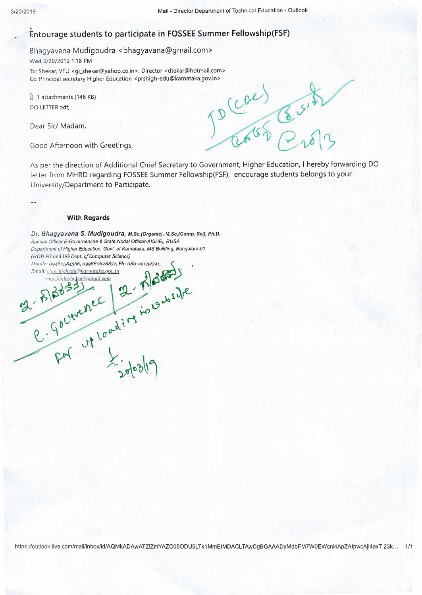## **tntourage students to participate in FOSSEE Summer Fellowship(FSF)**

Bhagyavana Mudigoudra <bhagyavana@gmail.com> Wed 3/20/2019 1:18 PM

To: Shekar, VTU <gl\_shekar@yahoo.co.in>; Director <dtekar@hotmail.com> Cc: Principal secretary Higher Education <prshigh-edu@karnataka.gov.in><br>
(1) 1 attachments (146 KB)<br>
DO LETTER.pdf;<br>
Dear Sir/ Madam,<br>
Good Afternoon with Crootings

@ 1 attachments (146 KB) DO LETTER.pdf;

Dear Sir/ Madam,

Good Afternoon with Greetings,

As per the direction of Additional Chief Secretary to Government, Higher Education, I hereby forwarding DO letter from MHRD regarding FOSSEE Summer Fellowship(FSF), encourage students belongs to your University/Department to Participate.

## **With Regards**

*Dr. Bhagyavana S. Mudigoudra, M.Sc.(Organic), M.Sc.(Comp. Sci}, Ph.D. Speciai Officer E-Governencae* & *State Nodal Officer-A/SHE,, RUSA Department of Higher Education, Govt. of Karnataka, MS Building, Bangalore-01 Department of Higher Education, Govt. of Karnataka, MS Building, Banga*<br>
(*HOD PG and UG Dept. of Computer Science*)<br> *Mobile: 09480584366, 099880628877, Ph: 080-22032741,*<br> *Email: <u>syon.highedu@karnataka.gov.in</u> rgyor,highedu@karnataka.gop.in*<br>goor.highedu@karnataka.gop.in **t\~i~ ~ ' ~" ~t~**   $\ln e^{\frac{2\pi}{3}}$  ,  $\ln e^{\frac{2\pi}{3}}$ 

 $7.8 \times 10^{10}$  a  $7.5 \times 10^{10}$ 

 $F<sup>2</sup>$   $\frac{1}{20}10319$ 

 $\mathcal{Y}$  by  $\mathcal{Y}$ 

 $Q.4$   $10^{o.4}$ 

https://outlook.live.com/mail/inbox/id/AQMkADAwATZiZmYAZC05ODU5LTk1MmEtMDACLTAwCgBGAAADyMdbFM7W0EWcni4ApZAlpwcAjl4axTl23k... 1/1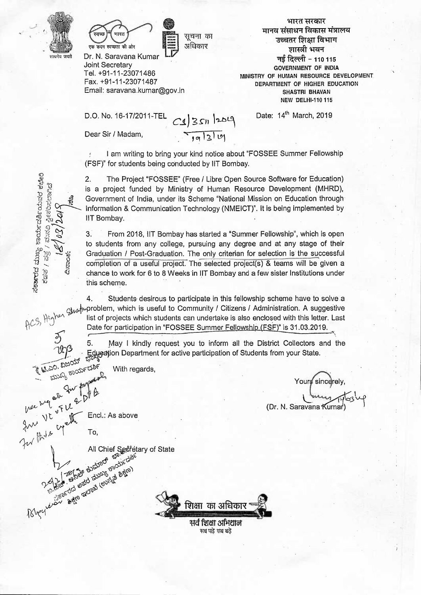

ಕಾರ್ಯ<br><sup>ಮನವಿ</sup><br>7027

I ~) <G 1'2  $v_{\rm g}$ 

gun Vt yel

Bley side ?

ದ ಮುಖ್ಯ ಕಾಂ<br>ಕೆ / ಪತ್ತ / ಮ<br>-<br>ವಿಸಾಂಕ:<br>ವಿಸಾಂಕ:



 $\begin{smallmatrix} \bullet \ \bullet \end{smallmatrix}$  , where  $\begin{smallmatrix} \bullet \ \bullet \end{smallmatrix}$  $\equiv$  3 सूचना का<br>अधिकार का<br>1<del>0</del>

Dr. N. Saravana Kumar Joint Secretary Tel. +91-11-23071486 Fax. +91-11-23071487 Email: saravana.kumar@gov.in

D.O. No. 16-17/2011-TEL  $CS|3sn$  2019

Dear Sir / Madam,

,<br>भारत सरकार<br>पाधन विकास मंत्राल l<br>अगरत सरकार<br>मानव संसाधन विकास मंत्रालय<br><del>उल्</del>चानर प्रिाश्चा विभाग ् भारत सरकार<br>व संसाधन विकास मंत्रात<br>उच्चतर शिक्षा विभाग<br>प्राम्जी भवन नाधन विकास<br>तर शिक्षा विभ<br>शास्त्री भवन<br>टिल्ली - 110 <del>उच्</del>चतर शिक्षा विभाग<br>- शास्त्री भवन<br>नई दिल्ली - 110 115 **GOVERNMENT OF INDIA MINISTRY OF HUMAN RESOURCE DEVELOPMENT DEPARTMENT OF HIGHER EDUCATION SHASTRI BHAVAN NEW DELHl-110 115** 

I am writing to bring your kind notice about "FOSSEE Summer Fellowship (FSF)" for students being conducted by IIT Bombay.

 $7,9|3|0$ 

2. The Project "FOSSEE" (Free / Libre Open Source Software for Education)<br>
is a project funded by Ministry of Human Resource Development (MHRD),<br>  $\frac{15}{12}$   $\frac{15}{12}$  Government of India, under its Scheme "National Mis is a project funded by Ministry of Human Resource Development (MHRD),<br>  $\frac{18}{10}$  Government of India, under its Scheme "National Mission on Education through<br>  $\frac{18}{10}$  S<br>
IIT Bombay.<br>
IIT Bombay. information & Communication Technology (NMEICT)". It is being implemented by<br>
iIT Bombay.<br>
3. From 2018, IIT Bombay has started a "Summer Fellowship", which is open<br>
to students from any college pursuing any degree and at

3. From 2018, IIT Bombay has started a "Summer Fellowship", which is open to students from any college, pursuing any degree and at any stage of their Graduation / Post-Graduation. The only criterian for selection is the successful completion of a useful project. The selected project(s) & teams will be given a chance to work for 6 to 8 Weeks in IIT Bombay and a few sister Institutions under this scheme.

4. Students· desirous to participate in this fellowship scheme have to solve a this scheme.<br>
4. Students desirous to participate in this fellowship scheme have to solve a<br>
fighen glue problem, which is useful to Community / Citizens / Administration. A suggestive<br>
list of projects which students can ACS, <sup>11</sup><sup>T</sup><br>Date for participation in "FOSSEE Summer Fellowship (FSF)" is 31.03.2019.

5. May I kindly request you to inform all the District Collectors and the 2013<br>
Education Department for active participation of Students from your State.<br>
Education Department for active participation of Students from your State.<br>
Education Department for active participation of Students from y

1  $x^{\text{3D2D}_6}$  France of the matrices of the since of the state of the state of the state of the state of the state of the state of the state of the state of the state of the state of the state of the state of the state o We  $w$  and  $\frac{1}{2}$   $\pi$  (Dr. N. Saravana Kumar)

 $W^{\alpha}$   $v^{\beta}$   $w^{\beta}$  **Encl.:** As above

~ ,b.)~ -.6•)6Y ~..., <sup>I</sup>~trr 'G>'"l~)\*' ~ ~t ~Jt. "9 'eD-t,o ~ \..~-ti-;.. *1j)· (i,00 ~*  ,-"'ti r.); *? lf6t* 

To,

**10,**<br> *All* Chief Secretary of State *All* Chief Secretary of State

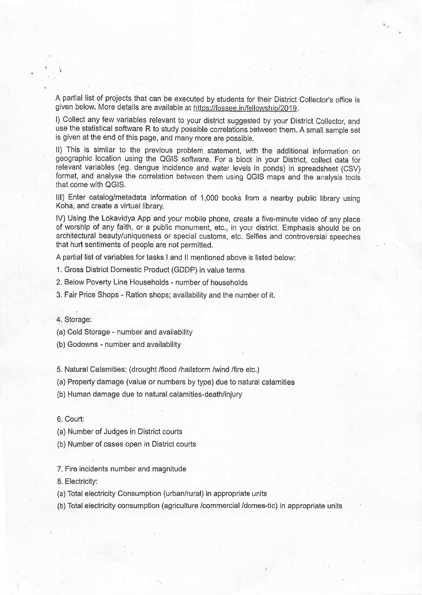A partial list of projects that can be executed by students for their District Collector's office is given below. More details are available at https://fossee.in/fellowship/2019.

I) Collect any few variables relevant to your district suggested by your District Collector, and use the statistical software R to study possible correlations between them. A small sample set is given at the end of this page, and many more are possible.

II) This is similar to the previous problem statement, with the additional information on · geographic location using the QGIS software. For a block in your District, collect data for relevant variables (eg. dengue incidence and water levels in ponds) in spreadsheet (CSV) format, and analyse the correlation between them using QGIS maps and the analysis tools that come with QGIS.

Ill) Enter catalog/metadata information of 1,000 books from a nearby public library using Koha, and create a virtual library.

IV) Using the Lokavidya App and your mobile phone, create a five-minute video of any place of worship of any faith, or a public monument, etc., in your djstrict. Emphasis should be on architectural beauty/uniqueness or special customs, etc. Selfies and controversial speeches that hurt sentiments of people are not permitted.

A partial list of variables for tasks I and 11 mentioned above is listed below:

1. Gross District Domestic Product (GDDP) in value terms

2. Below Poverty Line Households - number of households

3. Fair Price Shops - Ration shops; availability and the number of it.

4. Storage:

(a) Cold Storage - number and availability

(b) Godowns - number and availability

5. Natural Calamities: (drought /flood /hailstorm /wind /fire etc.)

(a) Property·damage (value cir numbers by type) due to natural calamities

(b) Human damage due to natural calamities-death/injury

6. Court:

(a) Number of Judges in District courts

(b) Number of cases open in District courts

7. Fire incidents number and magnitude

8. Electricity:

(a) Total electricity Consumption (urban/rural) in appropriate units

(b) Total electricity consumption (agriculture /commercial /domes-tic) in appropriate units